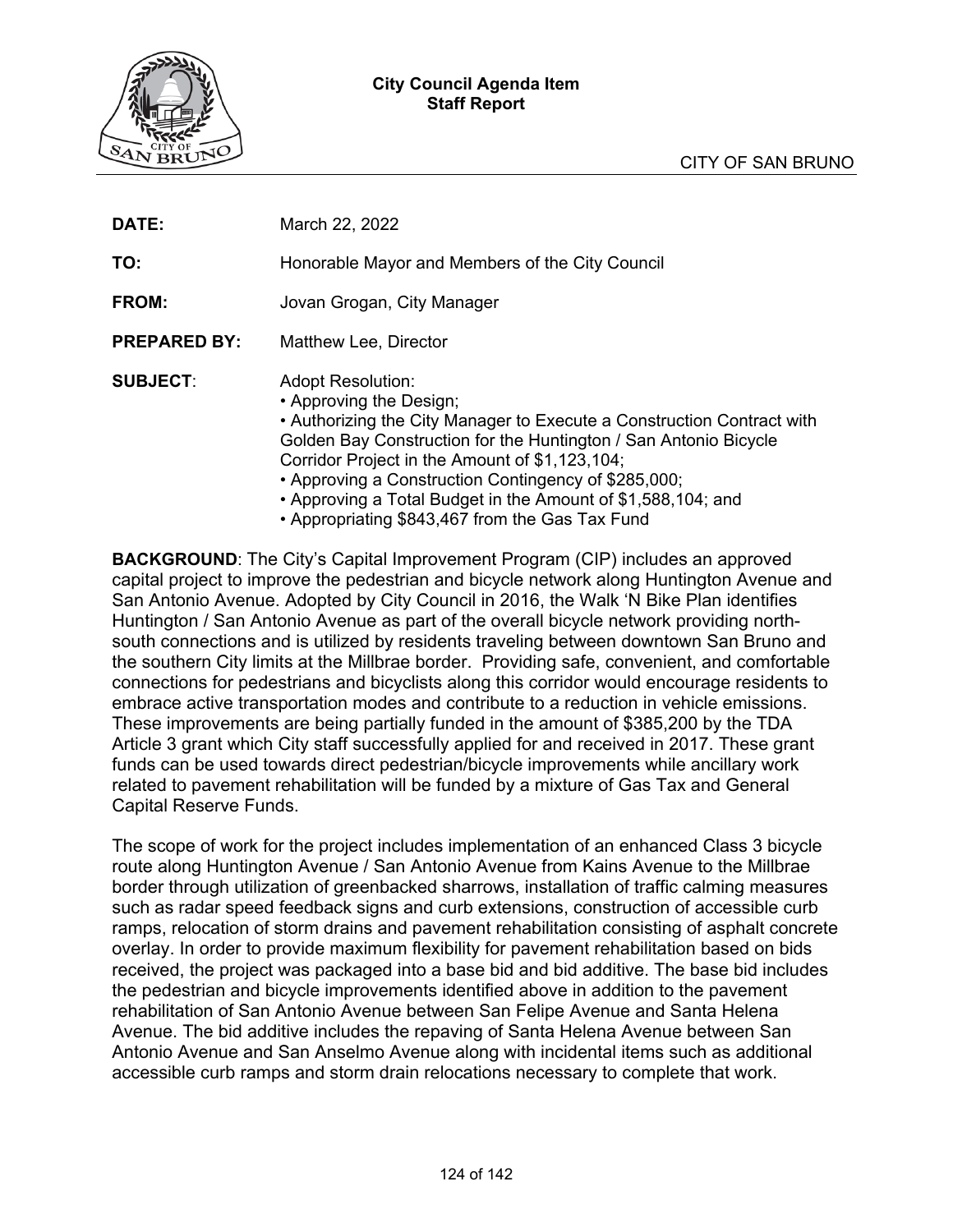### **City Council Agenda Item Staff Report**



| DATE:               | March 22, 2022                                                                                                                                                                                                                                                                                                                                                                                                                 |  |  |  |  |  |
|---------------------|--------------------------------------------------------------------------------------------------------------------------------------------------------------------------------------------------------------------------------------------------------------------------------------------------------------------------------------------------------------------------------------------------------------------------------|--|--|--|--|--|
| TO:                 | Honorable Mayor and Members of the City Council                                                                                                                                                                                                                                                                                                                                                                                |  |  |  |  |  |
| FROM:               | Jovan Grogan, City Manager                                                                                                                                                                                                                                                                                                                                                                                                     |  |  |  |  |  |
| <b>PREPARED BY:</b> | Matthew Lee, Director                                                                                                                                                                                                                                                                                                                                                                                                          |  |  |  |  |  |
| <b>SUBJECT:</b>     | <b>Adopt Resolution:</b><br>• Approving the Design;<br>• Authorizing the City Manager to Execute a Construction Contract with<br>Golden Bay Construction for the Huntington / San Antonio Bicycle<br>Corridor Project in the Amount of \$1,123,104;<br>• Approving a Construction Contingency of \$285,000;<br>• Approving a Total Budget in the Amount of \$1,588,104; and<br>• Appropriating \$843,467 from the Gas Tax Fund |  |  |  |  |  |

**BACKGROUND**: The City's Capital Improvement Program (CIP) includes an approved capital project to improve the pedestrian and bicycle network along Huntington Avenue and San Antonio Avenue. Adopted by City Council in 2016, the Walk 'N Bike Plan identifies Huntington / San Antonio Avenue as part of the overall bicycle network providing northsouth connections and is utilized by residents traveling between downtown San Bruno and the southern City limits at the Millbrae border. Providing safe, convenient, and comfortable connections for pedestrians and bicyclists along this corridor would encourage residents to embrace active transportation modes and contribute to a reduction in vehicle emissions. These improvements are being partially funded in the amount of \$385,200 by the TDA Article 3 grant which City staff successfully applied for and received in 2017. These grant funds can be used towards direct pedestrian/bicycle improvements while ancillary work related to pavement rehabilitation will be funded by a mixture of Gas Tax and General Capital Reserve Funds.

The scope of work for the project includes implementation of an enhanced Class 3 bicycle route along Huntington Avenue / San Antonio Avenue from Kains Avenue to the Millbrae border through utilization of greenbacked sharrows, installation of traffic calming measures such as radar speed feedback signs and curb extensions, construction of accessible curb ramps, relocation of storm drains and pavement rehabilitation consisting of asphalt concrete overlay. In order to provide maximum flexibility for pavement rehabilitation based on bids received, the project was packaged into a base bid and bid additive. The base bid includes the pedestrian and bicycle improvements identified above in addition to the pavement rehabilitation of San Antonio Avenue between San Felipe Avenue and Santa Helena Avenue. The bid additive includes the repaving of Santa Helena Avenue between San Antonio Avenue and San Anselmo Avenue along with incidental items such as additional accessible curb ramps and storm drain relocations necessary to complete that work.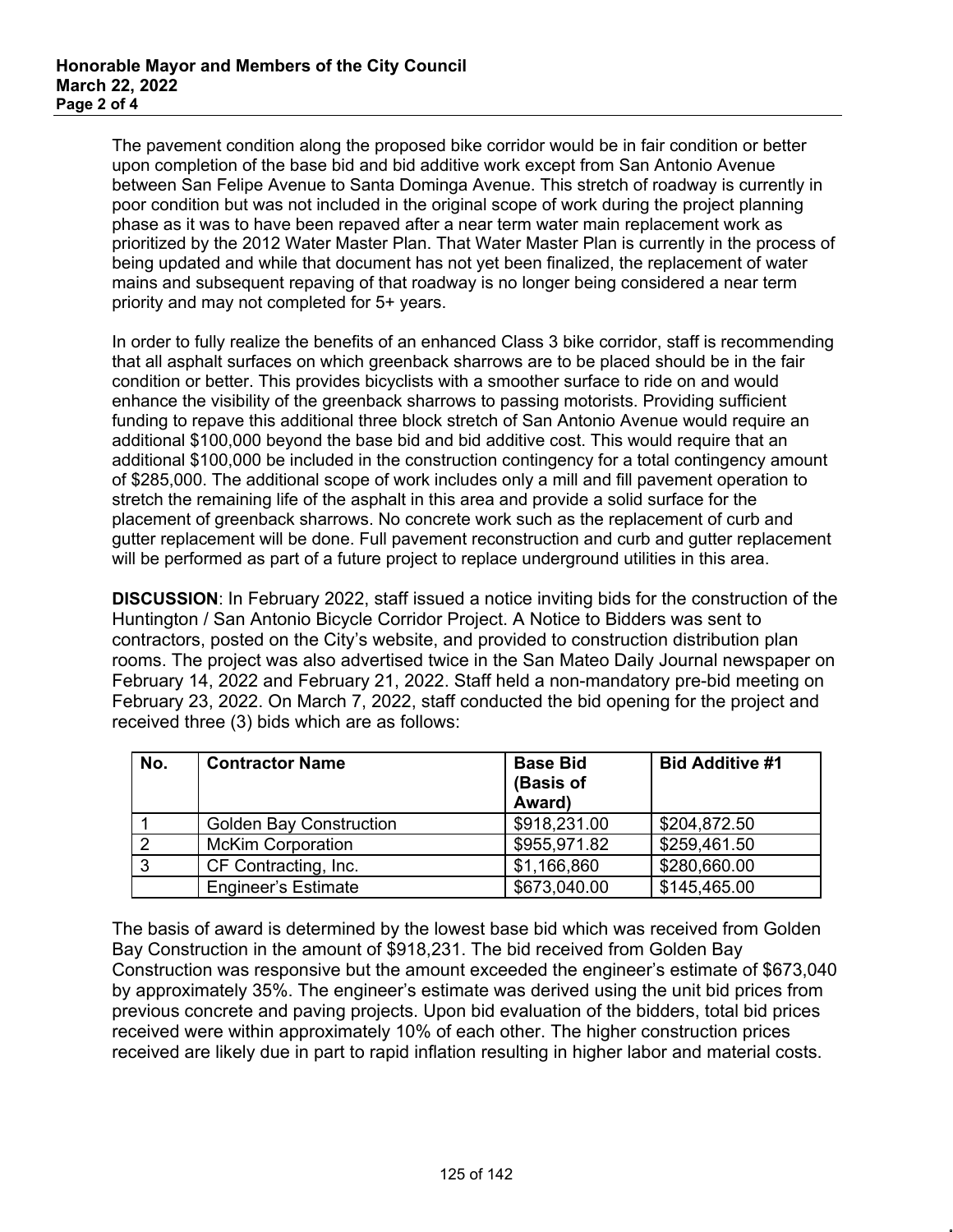The pavement condition along the proposed bike corridor would be in fair condition or better upon completion of the base bid and bid additive work except from San Antonio Avenue between San Felipe Avenue to Santa Dominga Avenue. This stretch of roadway is currently in poor condition but was not included in the original scope of work during the project planning phase as it was to have been repaved after a near term water main replacement work as prioritized by the 2012 Water Master Plan. That Water Master Plan is currently in the process of being updated and while that document has not yet been finalized, the replacement of water mains and subsequent repaving of that roadway is no longer being considered a near term priority and may not completed for 5+ years.

In order to fully realize the benefits of an enhanced Class 3 bike corridor, staff is recommending that all asphalt surfaces on which greenback sharrows are to be placed should be in the fair condition or better. This provides bicyclists with a smoother surface to ride on and would enhance the visibility of the greenback sharrows to passing motorists. Providing sufficient funding to repave this additional three block stretch of San Antonio Avenue would require an additional \$100,000 beyond the base bid and bid additive cost. This would require that an additional \$100,000 be included in the construction contingency for a total contingency amount of \$285,000. The additional scope of work includes only a mill and fill pavement operation to stretch the remaining life of the asphalt in this area and provide a solid surface for the placement of greenback sharrows. No concrete work such as the replacement of curb and gutter replacement will be done. Full pavement reconstruction and curb and gutter replacement will be performed as part of a future project to replace underground utilities in this area.

**DISCUSSION**: In February 2022, staff issued a notice inviting bids for the construction of the Huntington / San Antonio Bicycle Corridor Project. A Notice to Bidders was sent to contractors, posted on the City's website, and provided to construction distribution plan rooms. The project was also advertised twice in the San Mateo Daily Journal newspaper on February 14, 2022 and February 21, 2022. Staff held a non-mandatory pre-bid meeting on February 23, 2022. On March 7, 2022, staff conducted the bid opening for the project and received three (3) bids which are as follows:

| No. | <b>Contractor Name</b>         | <b>Base Bid</b><br>(Basis of<br>Award) | <b>Bid Additive #1</b> |
|-----|--------------------------------|----------------------------------------|------------------------|
|     | <b>Golden Bay Construction</b> | \$918,231.00                           | \$204,872.50           |
|     | <b>McKim Corporation</b>       | \$955,971.82                           | \$259,461.50           |
|     | CF Contracting, Inc.           | \$1,166,860                            | \$280,660.00           |
|     | <b>Engineer's Estimate</b>     | \$673,040.00                           | \$145,465.00           |

The basis of award is determined by the lowest base bid which was received from Golden Bay Construction in the amount of \$918,231. The bid received from Golden Bay Construction was responsive but the amount exceeded the engineer's estimate of \$673,040 by approximately 35%. The engineer's estimate was derived using the unit bid prices from previous concrete and paving projects. Upon bid evaluation of the bidders, total bid prices received were within approximately 10% of each other. The higher construction prices received are likely due in part to rapid inflation resulting in higher labor and material costs.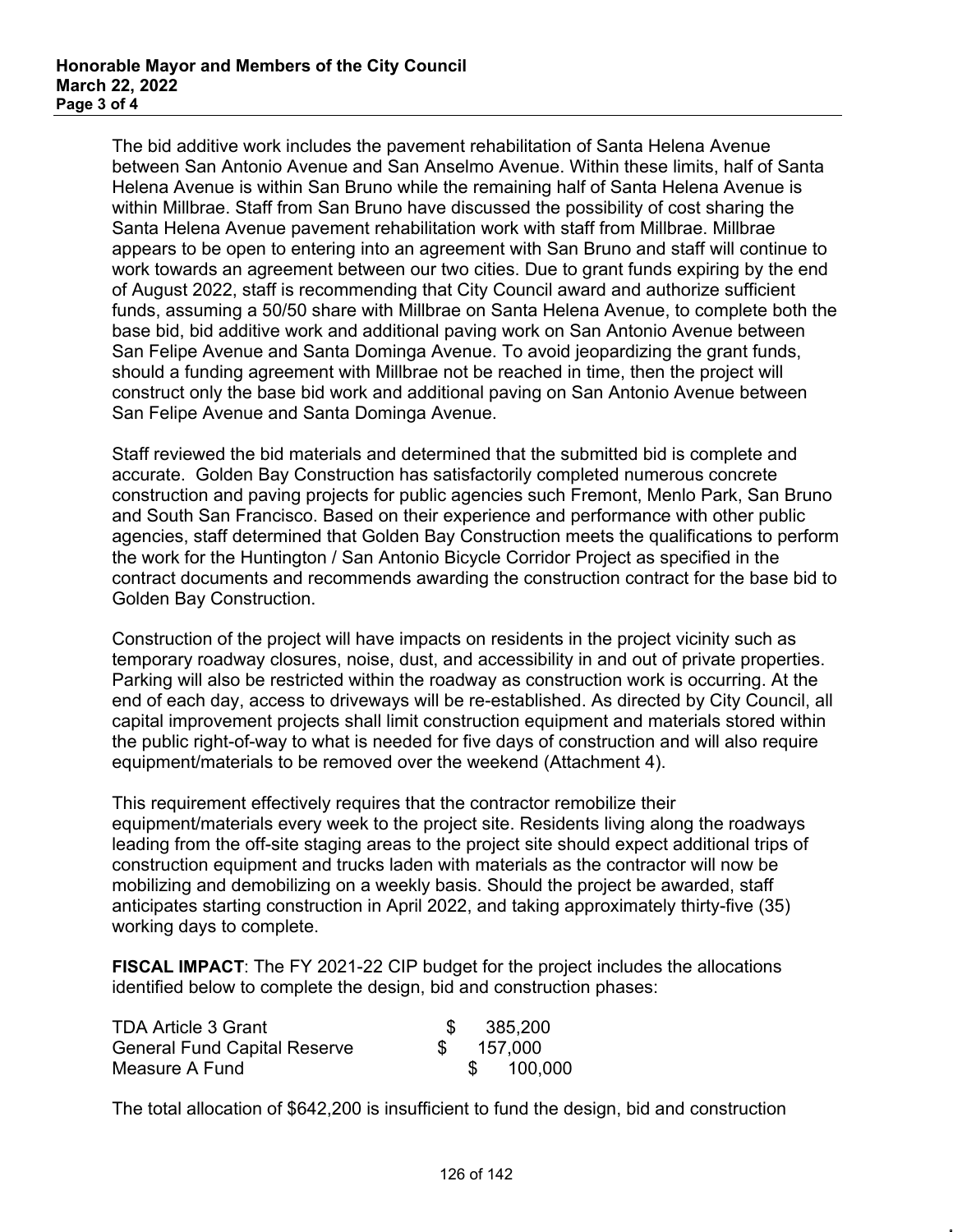The bid additive work includes the pavement rehabilitation of Santa Helena Avenue between San Antonio Avenue and San Anselmo Avenue. Within these limits, half of Santa Helena Avenue is within San Bruno while the remaining half of Santa Helena Avenue is within Millbrae. Staff from San Bruno have discussed the possibility of cost sharing the Santa Helena Avenue pavement rehabilitation work with staff from Millbrae. Millbrae appears to be open to entering into an agreement with San Bruno and staff will continue to work towards an agreement between our two cities. Due to grant funds expiring by the end of August 2022, staff is recommending that City Council award and authorize sufficient funds, assuming a 50/50 share with Millbrae on Santa Helena Avenue, to complete both the base bid, bid additive work and additional paving work on San Antonio Avenue between San Felipe Avenue and Santa Dominga Avenue. To avoid jeopardizing the grant funds, should a funding agreement with Millbrae not be reached in time, then the project will construct only the base bid work and additional paving on San Antonio Avenue between San Felipe Avenue and Santa Dominga Avenue.

Staff reviewed the bid materials and determined that the submitted bid is complete and accurate. Golden Bay Construction has satisfactorily completed numerous concrete construction and paving projects for public agencies such Fremont, Menlo Park, San Bruno and South San Francisco. Based on their experience and performance with other public agencies, staff determined that Golden Bay Construction meets the qualifications to perform the work for the Huntington / San Antonio Bicycle Corridor Project as specified in the contract documents and recommends awarding the construction contract for the base bid to Golden Bay Construction.

Construction of the project will have impacts on residents in the project vicinity such as temporary roadway closures, noise, dust, and accessibility in and out of private properties. Parking will also be restricted within the roadway as construction work is occurring. At the end of each day, access to driveways will be re-established. As directed by City Council, all capital improvement projects shall limit construction equipment and materials stored within the public right-of-way to what is needed for five days of construction and will also require equipment/materials to be removed over the weekend (Attachment 4).

This requirement effectively requires that the contractor remobilize their equipment/materials every week to the project site. Residents living along the roadways leading from the off-site staging areas to the project site should expect additional trips of construction equipment and trucks laden with materials as the contractor will now be mobilizing and demobilizing on a weekly basis. Should the project be awarded, staff anticipates starting construction in April 2022, and taking approximately thirty-five (35) working days to complete.

**FISCAL IMPACT**: The FY 2021-22 CIP budget for the project includes the allocations identified below to complete the design, bid and construction phases:

| <b>TDA Article 3 Grant</b>          |  | 385,200    |
|-------------------------------------|--|------------|
| <b>General Fund Capital Reserve</b> |  | \$ 157.000 |
| Measure A Fund                      |  | 100,000    |

The total allocation of \$642,200 is insufficient to fund the design, bid and construction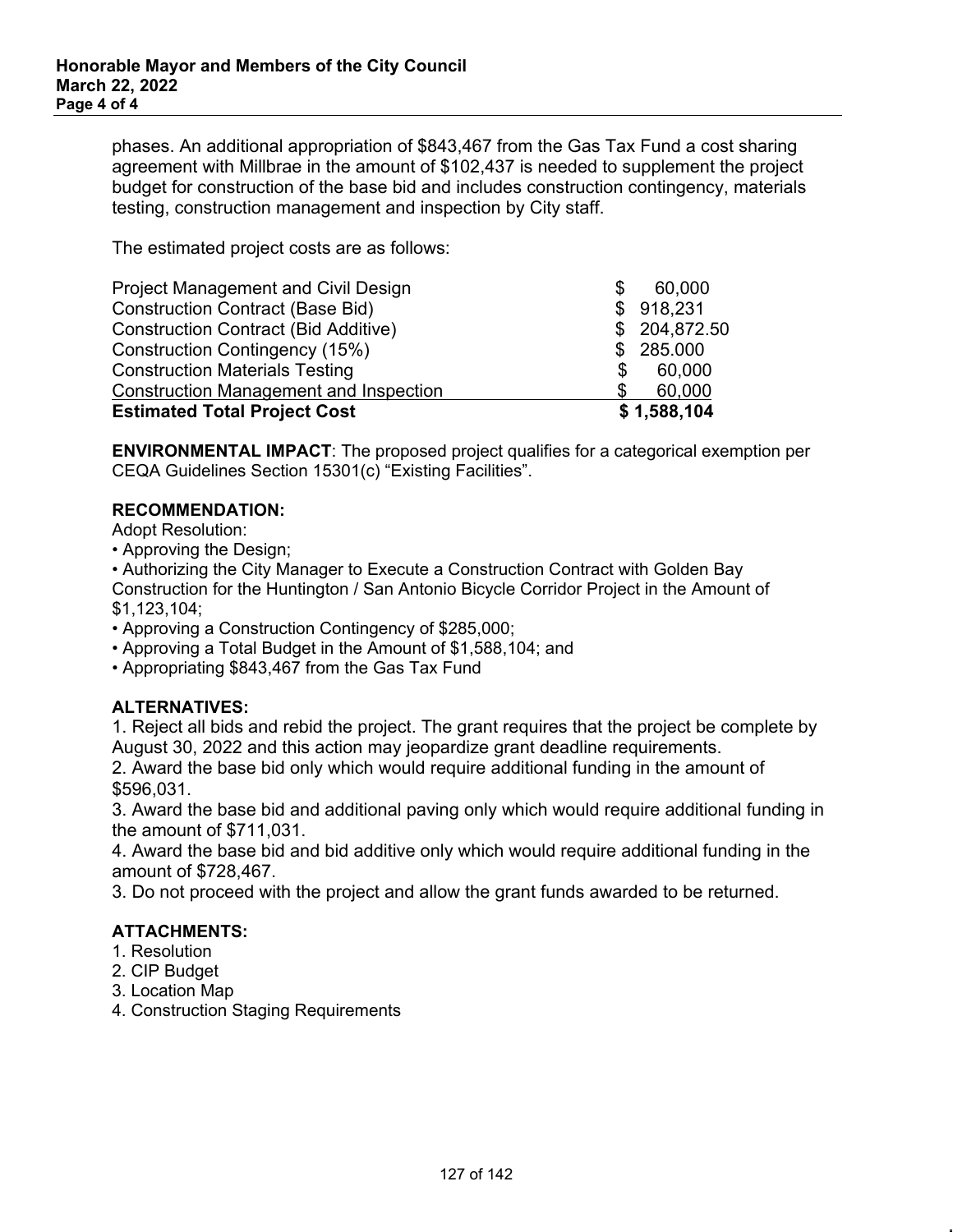phases. An additional appropriation of \$843,467 from the Gas Tax Fund a cost sharing agreement with Millbrae in the amount of \$102,437 is needed to supplement the project budget for construction of the base bid and includes construction contingency, materials testing, construction management and inspection by City staff.

The estimated project costs are as follows:

| <b>Estimated Total Project Cost</b>           |   | \$1,588,104   |
|-----------------------------------------------|---|---------------|
| <b>Construction Management and Inspection</b> |   | 60,000        |
| <b>Construction Materials Testing</b>         | S | 60,000        |
| Construction Contingency (15%)                |   | \$285.000     |
| <b>Construction Contract (Bid Additive)</b>   |   | \$ 204,872.50 |
| <b>Construction Contract (Base Bid)</b>       |   | \$918,231     |
| Project Management and Civil Design           |   | 60,000        |

**ENVIRONMENTAL IMPACT**: The proposed project qualifies for a categorical exemption per CEQA Guidelines Section 15301(c) "Existing Facilities".

### **RECOMMENDATION:**

Adopt Resolution:

• Approving the Design;

• Authorizing the City Manager to Execute a Construction Contract with Golden Bay Construction for the Huntington / San Antonio Bicycle Corridor Project in the Amount of \$1,123,104;

- Approving a Construction Contingency of \$285,000;
- Approving a Total Budget in the Amount of \$1,588,104; and
- Appropriating \$843,467 from the Gas Tax Fund

## **ALTERNATIVES:**

1. Reject all bids and rebid the project. The grant requires that the project be complete by August 30, 2022 and this action may jeopardize grant deadline requirements.

2. Award the base bid only which would require additional funding in the amount of \$596,031.

3. Award the base bid and additional paving only which would require additional funding in the amount of \$711,031.

4. Award the base bid and bid additive only which would require additional funding in the amount of \$728,467.

3. Do not proceed with the project and allow the grant funds awarded to be returned.

## **ATTACHMENTS:**

- 1. Resolution
- 2. CIP Budget
- 3. Location Map
- 4. Construction Staging Requirements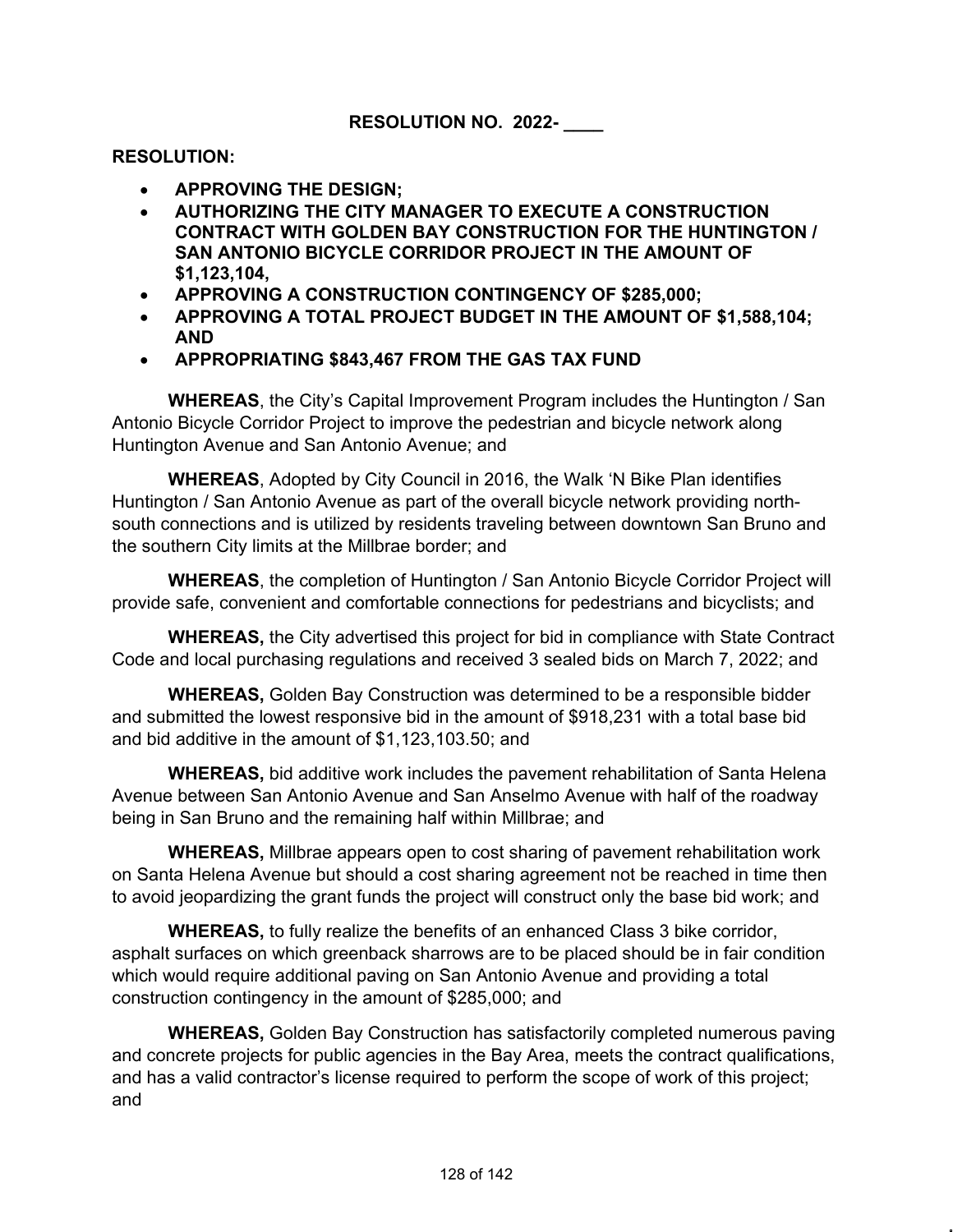## **RESOLUTION:**

- **APPROVING THE DESIGN;**
- **AUTHORIZING THE CITY MANAGER TO EXECUTE A CONSTRUCTION CONTRACT WITH GOLDEN BAY CONSTRUCTION FOR THE HUNTINGTON / SAN ANTONIO BICYCLE CORRIDOR PROJECT IN THE AMOUNT OF \$1,123,104,**
- **APPROVING A CONSTRUCTION CONTINGENCY OF \$285,000;**
- **APPROVING A TOTAL PROJECT BUDGET IN THE AMOUNT OF \$1,588,104; AND**
- **APPROPRIATING \$843,467 FROM THE GAS TAX FUND**

**WHEREAS**, the City's Capital Improvement Program includes the Huntington / San Antonio Bicycle Corridor Project to improve the pedestrian and bicycle network along Huntington Avenue and San Antonio Avenue; and

**WHEREAS**, Adopted by City Council in 2016, the Walk 'N Bike Plan identifies Huntington / San Antonio Avenue as part of the overall bicycle network providing northsouth connections and is utilized by residents traveling between downtown San Bruno and the southern City limits at the Millbrae border; and

**WHEREAS**, the completion of Huntington / San Antonio Bicycle Corridor Project will provide safe, convenient and comfortable connections for pedestrians and bicyclists; and

**WHEREAS,** the City advertised this project for bid in compliance with State Contract Code and local purchasing regulations and received 3 sealed bids on March 7, 2022; and

**WHEREAS,** Golden Bay Construction was determined to be a responsible bidder and submitted the lowest responsive bid in the amount of \$918,231 with a total base bid and bid additive in the amount of \$1,123,103.50; and

**WHEREAS,** bid additive work includes the pavement rehabilitation of Santa Helena Avenue between San Antonio Avenue and San Anselmo Avenue with half of the roadway being in San Bruno and the remaining half within Millbrae; and

**WHEREAS,** Millbrae appears open to cost sharing of pavement rehabilitation work on Santa Helena Avenue but should a cost sharing agreement not be reached in time then to avoid jeopardizing the grant funds the project will construct only the base bid work; and

**WHEREAS,** to fully realize the benefits of an enhanced Class 3 bike corridor, asphalt surfaces on which greenback sharrows are to be placed should be in fair condition which would require additional paving on San Antonio Avenue and providing a total construction contingency in the amount of \$285,000; and

**WHEREAS,** Golden Bay Construction has satisfactorily completed numerous paving and concrete projects for public agencies in the Bay Area, meets the contract qualifications, and has a valid contractor's license required to perform the scope of work of this project; and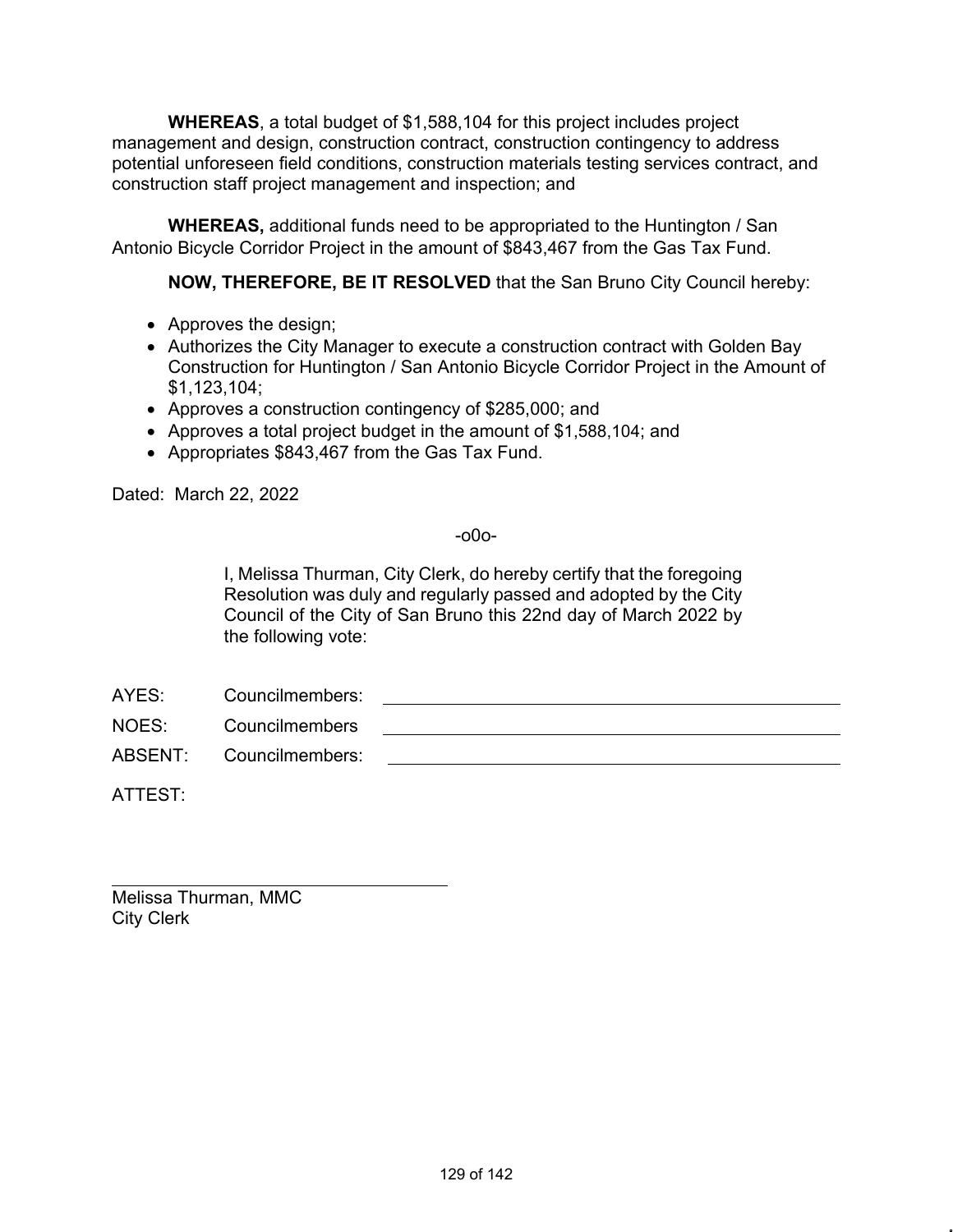**WHEREAS**, a total budget of \$1,588,104 for this project includes project management and design, construction contract, construction contingency to address potential unforeseen field conditions, construction materials testing services contract, and construction staff project management and inspection; and

**WHEREAS,** additional funds need to be appropriated to the Huntington / San Antonio Bicycle Corridor Project in the amount of \$843,467 from the Gas Tax Fund.

**NOW, THEREFORE, BE IT RESOLVED** that the San Bruno City Council hereby:

- Approves the design;
- Authorizes the City Manager to execute a construction contract with Golden Bay Construction for Huntington / San Antonio Bicycle Corridor Project in the Amount of \$1,123,104;
- Approves a construction contingency of \$285,000; and
- Approves a total project budget in the amount of \$1,588,104; and
- Appropriates \$843,467 from the Gas Tax Fund.

Dated: March 22, 2022

-o0o-

I, Melissa Thurman, City Clerk, do hereby certify that the foregoing Resolution was duly and regularly passed and adopted by the City Council of the City of San Bruno this 22nd day of March 2022 by the following vote:

AYES: Councilmembers:

NOES: Councilmembers

ABSENT: Councilmembers:

ATTEST:

Melissa Thurman, MMC City Clerk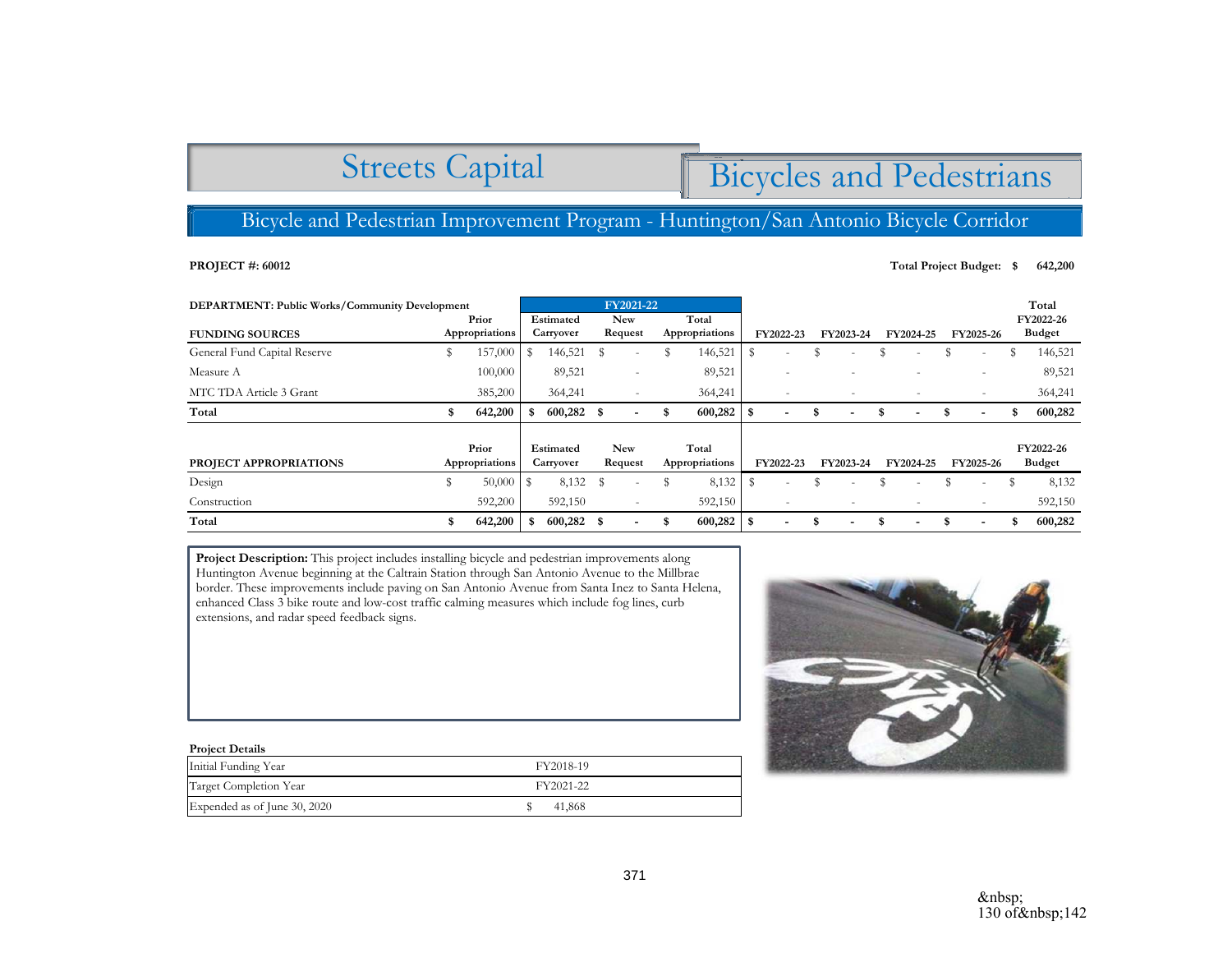## Streets Capital

# Bicycles and Pedestrians

## Bicycle and Pedestrian Improvement Program - Huntington/San Antonio Bicycle Corridor

#### **PROJECT #: 60012**

## **Total Project Budget:**  $\quad$  **642,200**

| <b>DEPARTMENT: Public Works/Community Development</b> |    |                         | FY2021-22              |                        |                       |                          |                         |                         |                        |                          |   |                          |   |           |   |                            | Total |                            |
|-------------------------------------------------------|----|-------------------------|------------------------|------------------------|-----------------------|--------------------------|-------------------------|-------------------------|------------------------|--------------------------|---|--------------------------|---|-----------|---|----------------------------|-------|----------------------------|
| <b>FUNDING SOURCES</b>                                |    | Prior<br>Appropriations |                        | Estimated<br>Carryover |                       | <b>New</b><br>Request    |                         | Total<br>Appropriations |                        | FY2022-23                |   | FY2023-24                |   | FY2024-25 |   | FY2025-26                  |       | FY2022-26<br><b>Budget</b> |
| General Fund Capital Reserve                          | \$ | 157,000                 | S                      | 146,521                | -S                    | $\overline{\phantom{a}}$ | \$                      | 146,521                 | S                      | $\overline{\phantom{a}}$ | S | $\overline{\phantom{a}}$ |   |           |   | $\sim$                     | S     | 146,521                    |
| Measure A                                             |    | 100,000                 |                        | 89,521                 |                       | $\overline{\phantom{a}}$ |                         | 89,521                  |                        | $\overline{\phantom{a}}$ |   | $\overline{\phantom{a}}$ |   |           |   | $\sim$                     |       | 89,521                     |
| MTC TDA Article 3 Grant                               |    | 385,200                 |                        | 364,241                |                       | $\overline{\phantom{a}}$ |                         | 364,241                 |                        | ٠                        |   | $\overline{\phantom{a}}$ |   |           |   | $\sim$                     |       | 364,241                    |
| Total                                                 | S  | 642,200                 |                        | $600,282$ \$           |                       |                          | \$.                     | 600,282                 |                        | $\overline{\phantom{a}}$ | S | $\blacksquare$           |   |           |   | $\blacksquare$             | £.    | 600,282                    |
| PROJECT APPROPRIATIONS                                |    | Prior<br>Appropriations | Estimated<br>Carryover |                        | <b>New</b><br>Request |                          | Total<br>Appropriations |                         | FY2022-23<br>FY2023-24 |                          |   | FY2024-25                |   | FY2025-26 |   | FY2022-26<br><b>Budget</b> |       |                            |
| Design                                                | \$ | 50,000                  |                        | 8,132                  | - \$                  | $\overline{\phantom{a}}$ |                         | 8,132                   | S                      | $\overline{\phantom{a}}$ | S | $\overline{\phantom{a}}$ |   |           |   | $\overline{\phantom{a}}$   |       | 8,132                      |
| Construction                                          |    | 592,200                 |                        | 592,150                |                       | $\overline{\phantom{a}}$ |                         | 592,150                 |                        | ٠                        |   | $\overline{\phantom{a}}$ |   |           |   | $\overline{\phantom{a}}$   |       | 592,150                    |
| Total                                                 | S  | 642,200                 |                        | $600,282$ \$           |                       | $\blacksquare$           | \$                      | 600,282                 |                        | $\overline{\phantom{a}}$ | S | $\blacksquare$           | S | ۰         | S | $\blacksquare$             |       | 600,282                    |

**Project Description:** This project includes installing bicycle and pedestrian improvements along Huntington Avenue beginning at the Caltrain Station through San Antonio Avenue to the Millbrae border. These improvements include paving on San Antonio Avenue from Santa Inez to Santa Helena, enhanced Class 3 bike route and low-cost traffic calming measures which include fog lines, curb extensions, and radar speed feedback signs.

| <b>Project Details</b>       |           |
|------------------------------|-----------|
| Initial Funding Year         | FY2018-19 |
| Target Completion Year       | FY2021-22 |
| Expended as of June 30, 2020 | 41,868    |

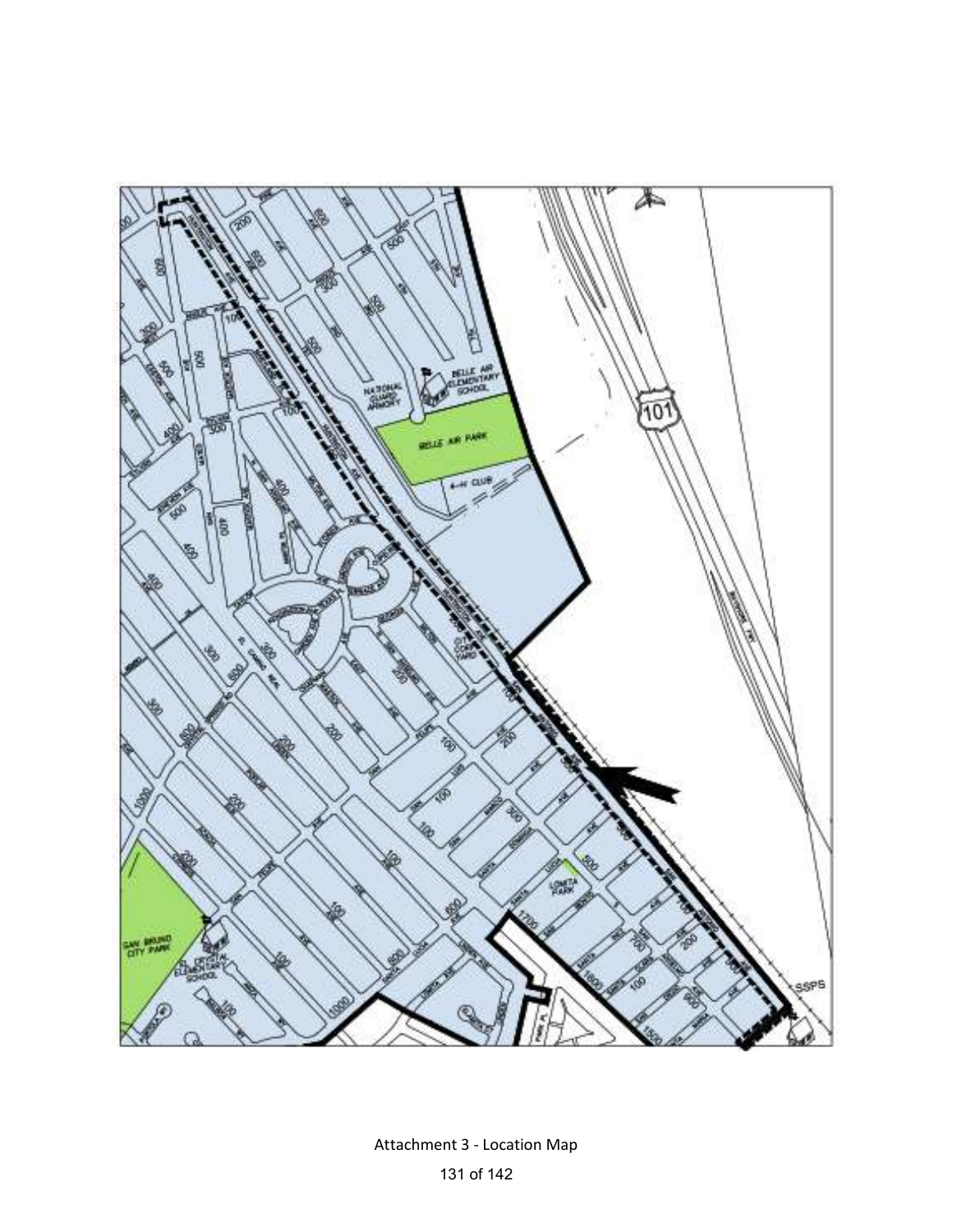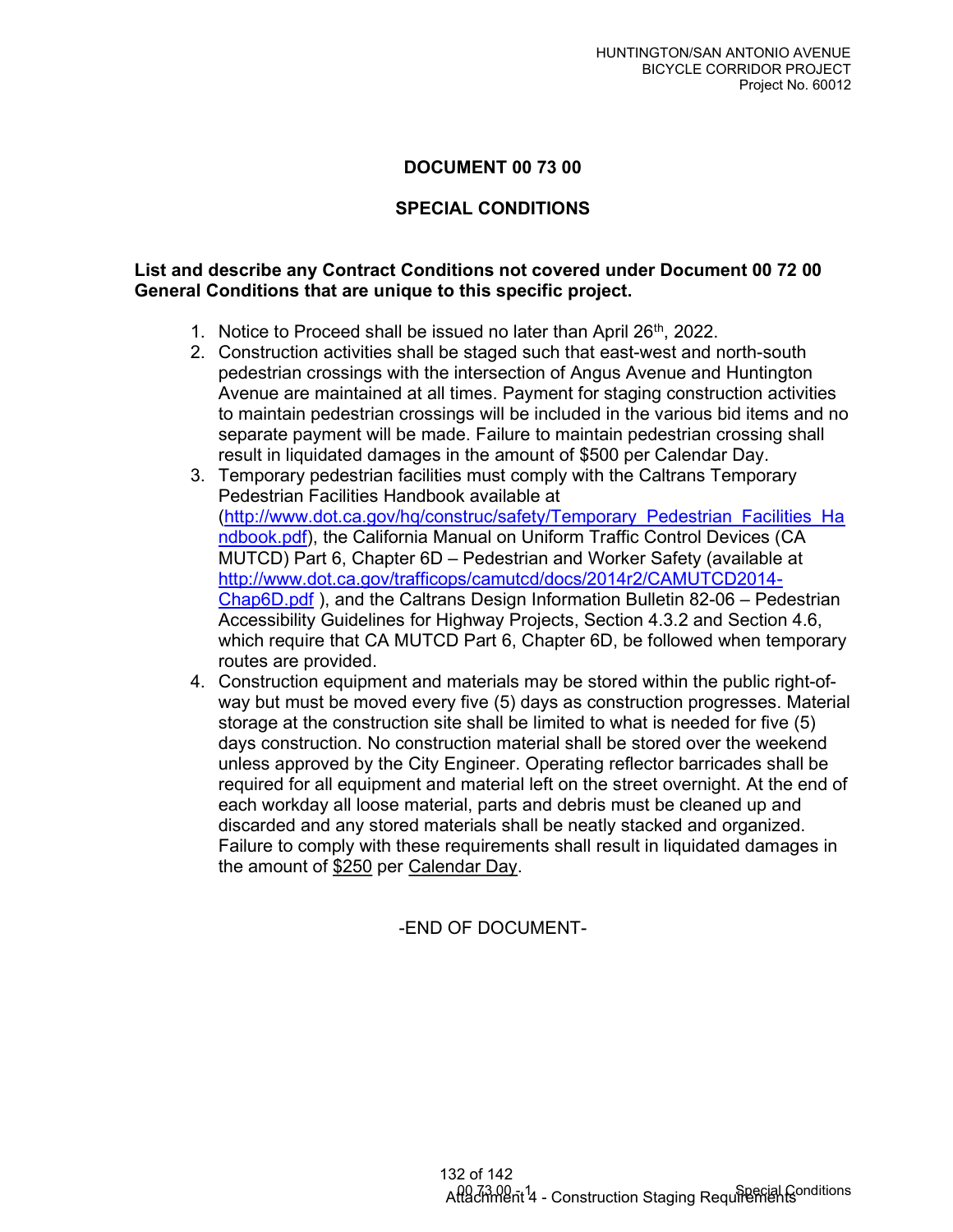## DOCUMENT 00 73 00

## SPECIAL CONDITIONS

## List and describe any Contract Conditions not covered under Document 00 72 00 General Conditions that are unique to this specific project.

- 1. Notice to Proceed shall be issued no later than April 26<sup>th</sup>, 2022.
- 2. Construction activities shall be staged such that east-west and north-south pedestrian crossings with the intersection of Angus Avenue and Huntington Avenue are maintained at all times. Payment for staging construction activities to maintain pedestrian crossings will be included in the various bid items and no separate payment will be made. Failure to maintain pedestrian crossing shall result in liquidated damages in the amount of \$500 per Calendar Day.
- 3. Temporary pedestrian facilities must comply with the Caltrans Temporary Pedestrian Facilities Handbook available at (http://www.dot.ca.gov/hq/construc/safety/Temporary\_Pedestrian\_Facilities\_Ha ndbook.pdf), the California Manual on Uniform Traffic Control Devices (CA MUTCD) Part 6, Chapter 6D – Pedestrian and Worker Safety (available at http://www.dot.ca.gov/trafficops/camutcd/docs/2014r2/CAMUTCD2014- Chap6D.pdf ), and the Caltrans Design Information Bulletin 82-06 – Pedestrian Accessibility Guidelines for Highway Projects, Section 4.3.2 and Section 4.6, which require that CA MUTCD Part 6, Chapter 6D, be followed when temporary routes are provided.
- 4. Construction equipment and materials may be stored within the public right-ofway but must be moved every five (5) days as construction progresses. Material storage at the construction site shall be limited to what is needed for five (5) days construction. No construction material shall be stored over the weekend unless approved by the City Engineer. Operating reflector barricades shall be required for all equipment and material left on the street overnight. At the end of each workday all loose material, parts and debris must be cleaned up and discarded and any stored materials shall be neatly stacked and organized. Failure to comply with these requirements shall result in liquidated damages in the amount of \$250 per Calendar Day.

-END OF DOCUMENT-